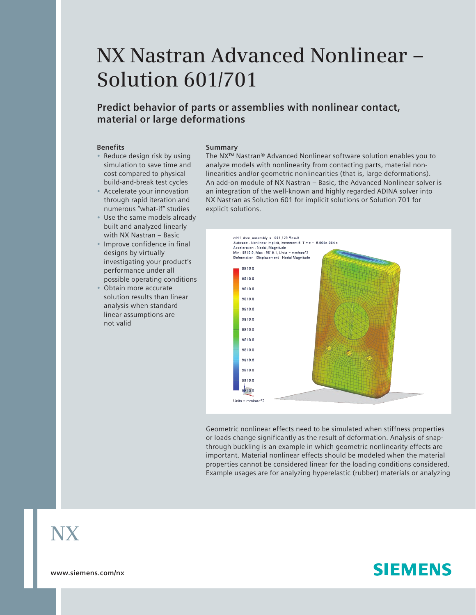# **NX Nastran Advanced Nonlinear – Solution 601/701**

### **Predict behavior of parts or assemblies with nonlinear contact, material or large deformations**

#### **Benefits**

- Reduce design risk by using simulation to save time and cost compared to physical build-and-break test cycles
- Accelerate your innovation through rapid iteration and numerous "what-if" studies
- Use the same models already built and analyzed linearly with NX Nastran – Basic
- Improve confidence in final designs by virtually investigating your product's performance under all possible operating conditions
- Obtain more accurate solution results than linear analysis when standard linear assumptions are not valid

#### **Summary**

The NX™ Nastran® Advanced Nonlinear software solution enables you to analyze models with nonlinearity from contacting parts, material nonlinearities and/or geometric nonlinearities (that is, large deformations). An add-on module of NX Nastran – Basic, the Advanced Nonlinear solver is an integration of the well-known and highly regarded ADINA solver into NX Nastran as Solution 601 for implicit solutions or Solution 701 for explicit solutions.



Geometric nonlinear effects need to be simulated when stiffness properties or loads change significantly as the result of deformation. Analysis of snapthrough buckling is an example in which geometric nonlinearity effects are important. Material nonlinear effects should be modeled when the material properties cannot be considered linear for the loading conditions considered. Example usages are for analyzing hyperelastic (rubber) materials or analyzing

## **NX**

**www.siemens.com/nx**

## **SIEMENS**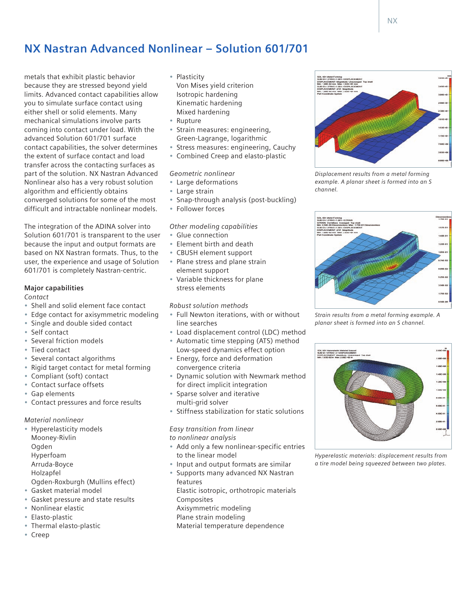metals that exhibit plastic behavior because they are stressed beyond yield limits. Advanced contact capabilities allow you to simulate surface contact using either shell or solid elements. Many mechanical simulations involve parts coming into contact under load. With the advanced Solution 601/701 surface contact capabilities, the solver determines the extent of surface contact and load transfer across the contacting surfaces as part of the solution. NX Nastran Advanced Nonlinear also has a very robust solution algorithm and efficiently obtains converged solutions for some of the most difficult and intractable nonlinear models.

The integration of the ADINA solver into Solution 601/701 is transparent to the user because the input and output formats are based on NX Nastran formats. Thus, to the user, the experience and usage of Solution 601/701 is completely Nastran-centric.

#### **Major capabilities**

#### *Contact*

- Shell and solid element face contact
- Edge contact for axisymmetric modeling
- Single and double sided contact
- Self contact
- Several friction models
- Tied contact
- Several contact algorithms
- Rigid target contact for metal forming
- Compliant (soft) contact
- Contact surface offsets
- Gap elements
- Contact pressures and force results

#### *Material nonlinear*

- Hyperelasticity models
- Mooney-Rivlin
- Ogden
- Hyperfoam
- Arruda-Boyce
- Holzapfel
- Ogden-Roxburgh (Mullins effect)
- Gasket material model
- Gasket pressure and state results
- Nonlinear elastic
- Elasto-plastic
- Thermal elasto-plastic
- Creep
- Plasticity
	- Von Mises yield criterion Isotropic hardening Kinematic hardening Mixed hardening
	- Rupture
	- Strain measures: engineering, Green-Lagrange, logarithmic
	- Stress measures: engineering, Cauchy
	- Combined Creep and elasto-plastic

#### *Geometric nonlinear*

- Large deformations
- Large strain
- Snap-through analysis (post-buckling)
- Follower forces

#### *Other modeling capabilities*

- Glue connection
- Element birth and death
- CBUSH element support
- Plane stress and plane strain element support
- Variable thickness for plane stress elements

#### *Robust solution methods*

- Full Newton iterations, with or without line searches
- Load displacement control (LDC) method
- Automatic time stepping (ATS) method
- Low-speed dynamics effect option • Energy, force and deformation
- convergence criteria • Dynamic solution with Newmark method
- for direct implicit integration Sparse solver and iterative multi-grid solver
- Stiffness stabilization for static solutions

### *Easy transition from linear*

*to nonlinear analysis*

- Add only a few nonlinear-specific entries to the linear model
- Input and output formats are similar
- Supports many advanced NX Nastran features Elastic isotropic, orthotropic materials Composites Axisymmetric modeling Plane strain modeling Material temperature dependence



*Displacement results from a metal forming example. A planar sheet is formed into an S channel.*



*Strain results from a metal forming example. A planar sheet is formed into an S channel.*



*Hyperelastic materials: displacement results from a tire model being squeezed between two plates.*